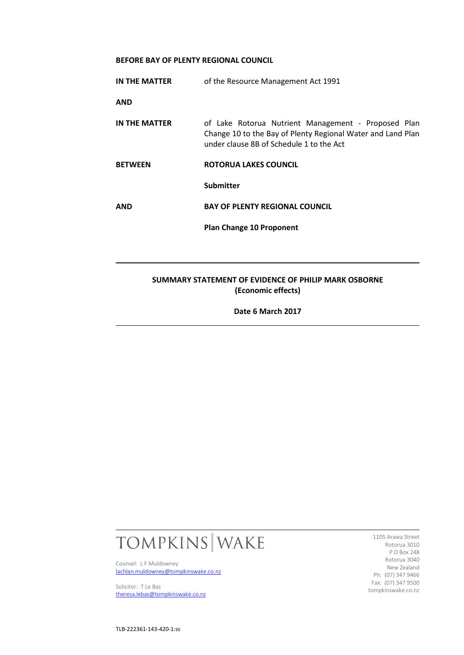## **BEFORE BAY OF PLENTY REGIONAL COUNCIL**

| IN THE MATTER                                                              | of the Resource Management Act 1991                                                                                                                            |
|----------------------------------------------------------------------------|----------------------------------------------------------------------------------------------------------------------------------------------------------------|
| <b>AND</b>                                                                 |                                                                                                                                                                |
| IN THE MATTER                                                              | of Lake Rotorua Nutrient Management - Proposed Plan<br>Change 10 to the Bay of Plenty Regional Water and Land Plan<br>under clause 8B of Schedule 1 to the Act |
| <b>BETWEEN</b>                                                             | ROTORUA LAKES COUNCIL                                                                                                                                          |
|                                                                            | Submitter                                                                                                                                                      |
| <b>AND</b>                                                                 | <b>BAY OF PLENTY REGIONAL COUNCIL</b>                                                                                                                          |
|                                                                            | <b>Plan Change 10 Proponent</b>                                                                                                                                |
|                                                                            |                                                                                                                                                                |
| SUMMARY STATEMENT OF EVIDENCE OF PHILIP MARK OSBORNE<br>(Economic effects) |                                                                                                                                                                |
| Date 6 March 2017                                                          |                                                                                                                                                                |



Counsel: L F Muldowney [lachlan.muldowney@tompkinswake.co.nz](mailto:lachlan.muldowney@tompkinswake.co.nz)

Solicitor: T Le Bas [theresa.lebas@tompkinswake.co.nz](mailto:theresa.lebas@tompkinswake.co.nz)

1105 Arawa Street Rotorua 3010 P O Box 248 Rotorua 3040 New Zealand Ph: (07) 347 9466 Fax: (07) 347 9500 tompkinswake.co.nz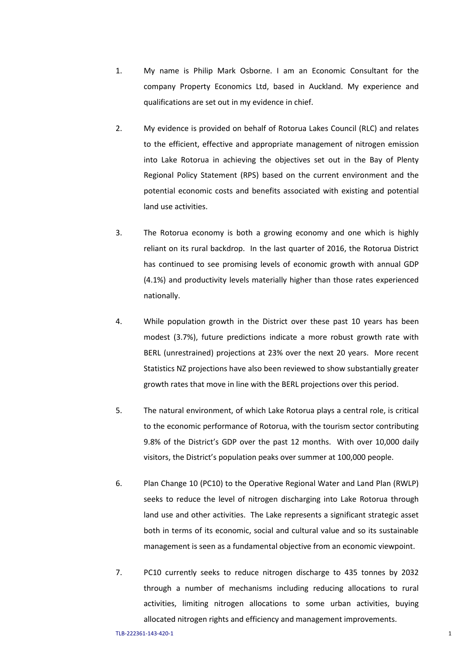- 1. My name is Philip Mark Osborne. I am an Economic Consultant for the company Property Economics Ltd, based in Auckland. My experience and qualifications are set out in my evidence in chief.
- 2. My evidence is provided on behalf of Rotorua Lakes Council (RLC) and relates to the efficient, effective and appropriate management of nitrogen emission into Lake Rotorua in achieving the objectives set out in the Bay of Plenty Regional Policy Statement (RPS) based on the current environment and the potential economic costs and benefits associated with existing and potential land use activities.
- 3. The Rotorua economy is both a growing economy and one which is highly reliant on its rural backdrop. In the last quarter of 2016, the Rotorua District has continued to see promising levels of economic growth with annual GDP (4.1%) and productivity levels materially higher than those rates experienced nationally.
- 4. While population growth in the District over these past 10 years has been modest (3.7%), future predictions indicate a more robust growth rate with BERL (unrestrained) projections at 23% over the next 20 years. More recent Statistics NZ projections have also been reviewed to show substantially greater growth rates that move in line with the BERL projections over this period.
- 5. The natural environment, of which Lake Rotorua plays a central role, is critical to the economic performance of Rotorua, with the tourism sector contributing 9.8% of the District's GDP over the past 12 months. With over 10,000 daily visitors, the District's population peaks over summer at 100,000 people.
- 6. Plan Change 10 (PC10) to the Operative Regional Water and Land Plan (RWLP) seeks to reduce the level of nitrogen discharging into Lake Rotorua through land use and other activities. The Lake represents a significant strategic asset both in terms of its economic, social and cultural value and so its sustainable management is seen as a fundamental objective from an economic viewpoint.
- 7. PC10 currently seeks to reduce nitrogen discharge to 435 tonnes by 2032 through a number of mechanisms including reducing allocations to rural activities, limiting nitrogen allocations to some urban activities, buying allocated nitrogen rights and efficiency and management improvements.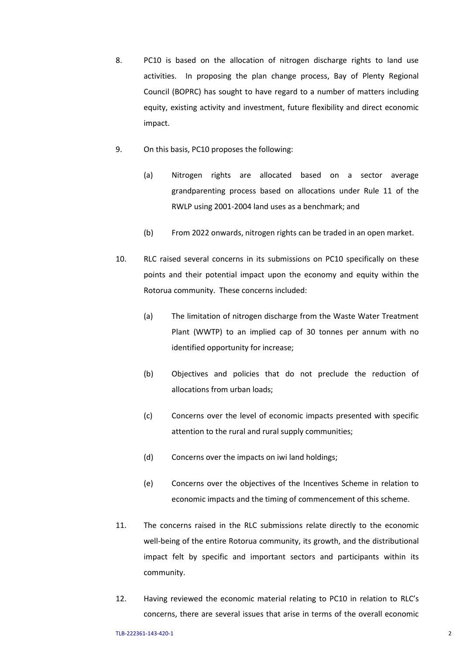- 8. PC10 is based on the allocation of nitrogen discharge rights to land use activities. In proposing the plan change process, Bay of Plenty Regional Council (BOPRC) has sought to have regard to a number of matters including equity, existing activity and investment, future flexibility and direct economic impact.
- 9. On this basis, PC10 proposes the following:
	- (a) Nitrogen rights are allocated based on a sector average grandparenting process based on allocations under Rule 11 of the RWLP using 2001-2004 land uses as a benchmark; and
	- (b) From 2022 onwards, nitrogen rights can be traded in an open market.
- 10. RLC raised several concerns in its submissions on PC10 specifically on these points and their potential impact upon the economy and equity within the Rotorua community. These concerns included:
	- (a) The limitation of nitrogen discharge from the Waste Water Treatment Plant (WWTP) to an implied cap of 30 tonnes per annum with no identified opportunity for increase;
	- (b) Objectives and policies that do not preclude the reduction of allocations from urban loads;
	- (c) Concerns over the level of economic impacts presented with specific attention to the rural and rural supply communities;
	- (d) Concerns over the impacts on iwi land holdings;
	- (e) Concerns over the objectives of the Incentives Scheme in relation to economic impacts and the timing of commencement of this scheme.
- 11. The concerns raised in the RLC submissions relate directly to the economic well-being of the entire Rotorua community, its growth, and the distributional impact felt by specific and important sectors and participants within its community.
- 12. Having reviewed the economic material relating to PC10 in relation to RLC's concerns, there are several issues that arise in terms of the overall economic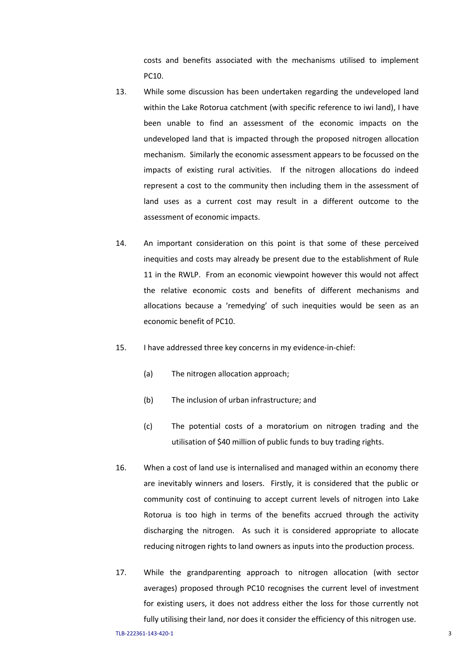costs and benefits associated with the mechanisms utilised to implement PC10.

- 13. While some discussion has been undertaken regarding the undeveloped land within the Lake Rotorua catchment (with specific reference to iwi land), I have been unable to find an assessment of the economic impacts on the undeveloped land that is impacted through the proposed nitrogen allocation mechanism. Similarly the economic assessment appears to be focussed on the impacts of existing rural activities. If the nitrogen allocations do indeed represent a cost to the community then including them in the assessment of land uses as a current cost may result in a different outcome to the assessment of economic impacts.
- 14. An important consideration on this point is that some of these perceived inequities and costs may already be present due to the establishment of Rule 11 in the RWLP. From an economic viewpoint however this would not affect the relative economic costs and benefits of different mechanisms and allocations because a 'remedying' of such inequities would be seen as an economic benefit of PC10.
- 15. I have addressed three key concerns in my evidence-in-chief:
	- (a) The nitrogen allocation approach;
	- (b) The inclusion of urban infrastructure; and
	- (c) The potential costs of a moratorium on nitrogen trading and the utilisation of \$40 million of public funds to buy trading rights.
- 16. When a cost of land use is internalised and managed within an economy there are inevitably winners and losers. Firstly, it is considered that the public or community cost of continuing to accept current levels of nitrogen into Lake Rotorua is too high in terms of the benefits accrued through the activity discharging the nitrogen. As such it is considered appropriate to allocate reducing nitrogen rights to land owners as inputs into the production process.
- 17. While the grandparenting approach to nitrogen allocation (with sector averages) proposed through PC10 recognises the current level of investment for existing users, it does not address either the loss for those currently not fully utilising their land, nor does it consider the efficiency of this nitrogen use.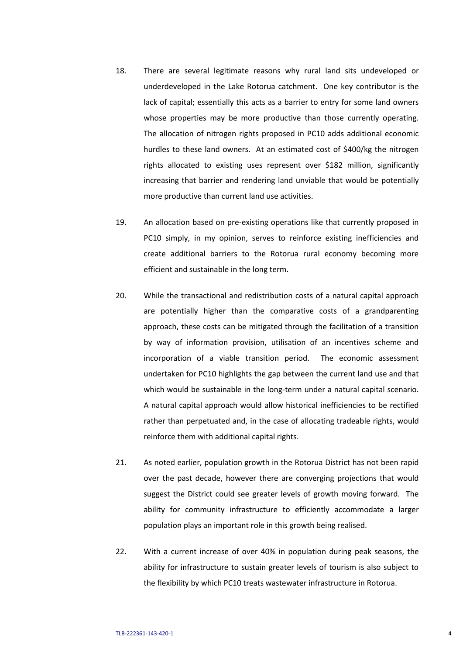- 18. There are several legitimate reasons why rural land sits undeveloped or underdeveloped in the Lake Rotorua catchment. One key contributor is the lack of capital; essentially this acts as a barrier to entry for some land owners whose properties may be more productive than those currently operating. The allocation of nitrogen rights proposed in PC10 adds additional economic hurdles to these land owners. At an estimated cost of \$400/kg the nitrogen rights allocated to existing uses represent over \$182 million, significantly increasing that barrier and rendering land unviable that would be potentially more productive than current land use activities.
- 19. An allocation based on pre-existing operations like that currently proposed in PC10 simply, in my opinion, serves to reinforce existing inefficiencies and create additional barriers to the Rotorua rural economy becoming more efficient and sustainable in the long term.
- 20. While the transactional and redistribution costs of a natural capital approach are potentially higher than the comparative costs of a grandparenting approach, these costs can be mitigated through the facilitation of a transition by way of information provision, utilisation of an incentives scheme and incorporation of a viable transition period. The economic assessment undertaken for PC10 highlights the gap between the current land use and that which would be sustainable in the long-term under a natural capital scenario. A natural capital approach would allow historical inefficiencies to be rectified rather than perpetuated and, in the case of allocating tradeable rights, would reinforce them with additional capital rights.
- 21. As noted earlier, population growth in the Rotorua District has not been rapid over the past decade, however there are converging projections that would suggest the District could see greater levels of growth moving forward. The ability for community infrastructure to efficiently accommodate a larger population plays an important role in this growth being realised.
- 22. With a current increase of over 40% in population during peak seasons, the ability for infrastructure to sustain greater levels of tourism is also subject to the flexibility by which PC10 treats wastewater infrastructure in Rotorua.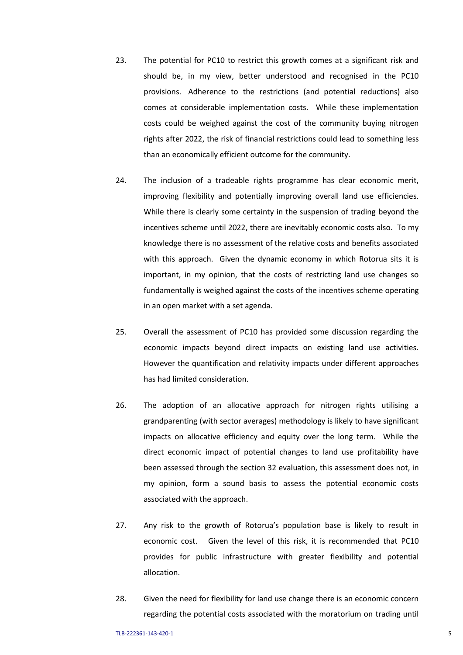- 23. The potential for PC10 to restrict this growth comes at a significant risk and should be, in my view, better understood and recognised in the PC10 provisions. Adherence to the restrictions (and potential reductions) also comes at considerable implementation costs. While these implementation costs could be weighed against the cost of the community buying nitrogen rights after 2022, the risk of financial restrictions could lead to something less than an economically efficient outcome for the community.
- 24. The inclusion of a tradeable rights programme has clear economic merit, improving flexibility and potentially improving overall land use efficiencies. While there is clearly some certainty in the suspension of trading beyond the incentives scheme until 2022, there are inevitably economic costs also. To my knowledge there is no assessment of the relative costs and benefits associated with this approach. Given the dynamic economy in which Rotorua sits it is important, in my opinion, that the costs of restricting land use changes so fundamentally is weighed against the costs of the incentives scheme operating in an open market with a set agenda.
- 25. Overall the assessment of PC10 has provided some discussion regarding the economic impacts beyond direct impacts on existing land use activities. However the quantification and relativity impacts under different approaches has had limited consideration.
- 26. The adoption of an allocative approach for nitrogen rights utilising a grandparenting (with sector averages) methodology is likely to have significant impacts on allocative efficiency and equity over the long term. While the direct economic impact of potential changes to land use profitability have been assessed through the section 32 evaluation, this assessment does not, in my opinion, form a sound basis to assess the potential economic costs associated with the approach.
- 27. Any risk to the growth of Rotorua's population base is likely to result in economic cost. Given the level of this risk, it is recommended that PC10 provides for public infrastructure with greater flexibility and potential allocation.
- 28. Given the need for flexibility for land use change there is an economic concern regarding the potential costs associated with the moratorium on trading until